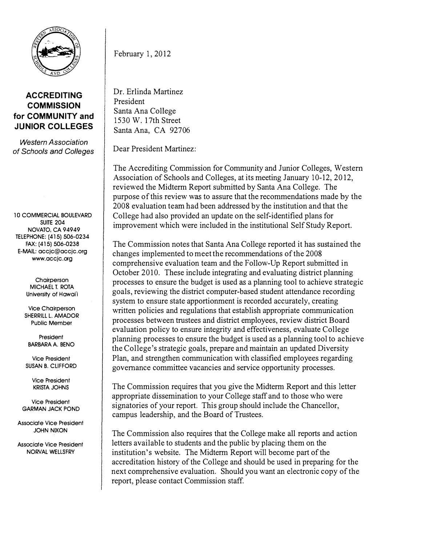

## ACCREDITING **COMMISSION** for COMMUNITY and JUNIOR COLLEGES

Western Association of Schools and Colleges

10 COMMERCIAL BOULEVARD **SUITE 204** NOVATO, CA 94949 TELEPHONE: (415) 506-0234 FAX: (415) 506-0238 E-MAIL: accjc@accjc.org www.accjc.org

> **Chairperson** MICHAEL T. ROTA University of Hawai'i

Vice Chairperson SHERRILL L. AMADOR Public Member

President BARBARA A. BENO

Vice President SUSAN B. CLIFFORD

> Vice President KRISTA JOHNS

Vice President GARMAN JACK POND

Associate Vice President JOHN NIXON

Associate Vice President NORVAL WELLSFRY

February 1, 2012

Dr. Erlinda Martinez President Santa Ana College 1530 W. 1 7th Street Santa Ana, CA 92706

Dear President Martinez:

The Accrediting Commission for Community and Junior Colleges, Western Association of Schools and Colleges, at its meeting January 10-12, 2012, reviewed the Midterm Report submitted by Santa Ana College. The purpose of this review was to assure that the recommendations made by the 2008 evaluation team had been addressed by the institution and that the College had also provided an update on the self-identified plans for improvement which were included in the institutional Self Study Report.

The Commission notes that Santa Ana College reported it has sustained the changes implemented to meet the recommendations of the 2008 comprehensive evaluation team and the Follow-Up Report submitted in October 2010. These include integrating and evaluating district planning processes to ensure the budget is used as a planning tool to achieve strategic goals, reviewing the district computer-based student attendance recording system to ensure state apportionment is recorded accurately, creating written policies and regulations that establish appropriate communication processes between trustees and district employees, review district Board evaluation policy to ensure integrity and effectiveness, evaluate College planning processes to ensure the budget is used as a planning tool to achieve the College's strategic goals, prepare and maintain an updated Diversity Plan, and strengthen communication with classified employees regarding governance committee vacancies and service opportunity processes.

The Commission requires that you give the Midterm Report and this letter appropriate dissemination to your College staff and to those who were signatories of your report. This group should include the Chancellor, campus leadership, and the Board of Trustees.

The Commission also requires that the College make all reports and action letters available to students and the public by placing them on the institution's website. The Midterm Report will become part of the accreditation history of the College and should be used in preparing for the next comprehensive evaluation. Should you want an electronic copy of the report, please contact Commission staff.